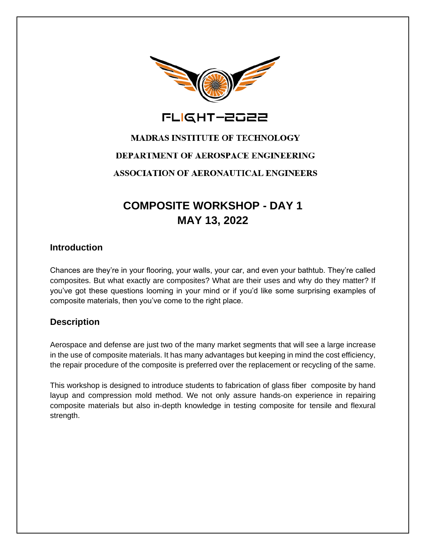

FLIGHT-2022

# **MADRAS INSTITUTE OF TECHNOLOGY** DEPARTMENT OF AEROSPACE ENGINEERING **ASSOCIATION OF AERONAUTICAL ENGINEERS**

## **COMPOSITE WORKSHOP - DAY 1 MAY 13, 2022**

#### **Introduction**

Chances are they're in your flooring, your walls, your car, and even your bathtub. They're called composites. But what exactly are composites? What are their uses and why do they matter? If you've got these questions looming in your mind or if you'd like some surprising examples of composite materials, then you've come to the right place.

### **Description**

Aerospace and defense are just two of the many market segments that will see a large increase in the use of composite materials. It has many advantages but keeping in mind the cost efficiency, the repair procedure of the composite is preferred over the replacement or recycling of the same.

This workshop is designed to introduce students to fabrication of glass fiber composite by hand layup and compression mold method. We not only assure hands-on experience in repairing composite materials but also in-depth knowledge in testing composite for tensile and flexural strength.